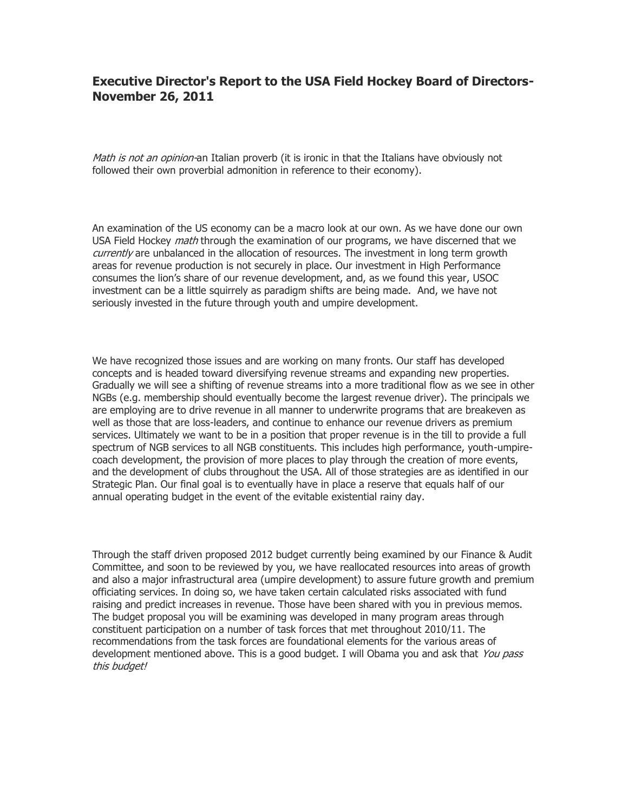## **Executive Director's Report to the USA Field Hockey Board of Directors-November 26, 2011**

Math is not an opinion-an Italian proverb (it is ironic in that the Italians have obviously not followed their own proverbial admonition in reference to their economy).

An examination of the US economy can be a macro look at our own. As we have done our own USA Field Hockey *math* through the examination of our programs, we have discerned that we currently are unbalanced in the allocation of resources. The investment in long term growth areas for revenue production is not securely in place. Our investment in High Performance consumes the lion's share of our revenue development, and, as we found this year, USOC investment can be a little squirrely as paradigm shifts are being made. And, we have not seriously invested in the future through youth and umpire development.

We have recognized those issues and are working on many fronts. Our staff has developed concepts and is headed toward diversifying revenue streams and expanding new properties. Gradually we will see a shifting of revenue streams into a more traditional flow as we see in other NGBs (e.g. membership should eventually become the largest revenue driver). The principals we are employing are to drive revenue in all manner to underwrite programs that are breakeven as well as those that are loss-leaders, and continue to enhance our revenue drivers as premium services. Ultimately we want to be in a position that proper revenue is in the till to provide a full spectrum of NGB services to all NGB constituents. This includes high performance, youth-umpirecoach development, the provision of more places to play through the creation of more events, and the development of clubs throughout the USA. All of those strategies are as identified in our Strategic Plan. Our final goal is to eventually have in place a reserve that equals half of our annual operating budget in the event of the evitable existential rainy day.

Through the staff driven proposed 2012 budget currently being examined by our Finance & Audit Committee, and soon to be reviewed by you, we have reallocated resources into areas of growth and also a major infrastructural area (umpire development) to assure future growth and premium officiating services. In doing so, we have taken certain calculated risks associated with fund raising and predict increases in revenue. Those have been shared with you in previous memos. The budget proposal you will be examining was developed in many program areas through constituent participation on a number of task forces that met throughout 2010/11. The recommendations from the task forces are foundational elements for the various areas of development mentioned above. This is a good budget. I will Obama you and ask that You pass this budget!